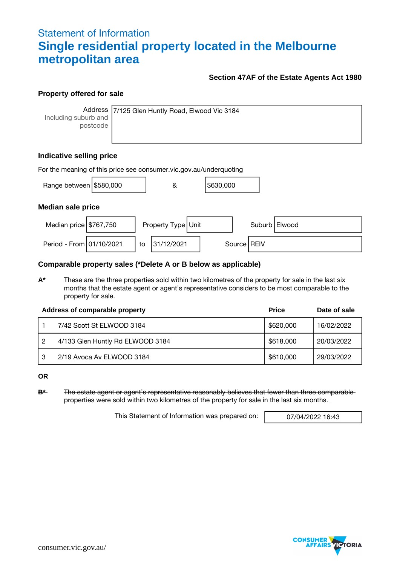# Statement of Information **Single residential property located in the Melbourne metropolitan area**

## **Section 47AF of the Estate Agents Act 1980**

## **Property offered for sale**

Address Including suburb and postcode

7/125 Glen Huntly Road, Elwood Vic 3184

# **Indicative selling price**

| For the meaning of this price see consumer vic gov au/underquoting |  |    |                    |  |           |  |               |                 |
|--------------------------------------------------------------------|--|----|--------------------|--|-----------|--|---------------|-----------------|
| Range between $\frac{15580,000}{1000}$                             |  |    | &                  |  | \$630,000 |  |               |                 |
| <b>Median sale price</b>                                           |  |    |                    |  |           |  |               |                 |
| Median price $\frac{15767}{750}$                                   |  |    | Property Type Unit |  |           |  |               | Suburb   Elwood |
| Period - From 01/10/2021                                           |  | to | 31/12/2021         |  |           |  | Source   REIV |                 |

## **Comparable property sales (\*Delete A or B below as applicable)**

**A\*** These are the three properties sold within two kilometres of the property for sale in the last six months that the estate agent or agent's representative considers to be most comparable to the property for sale.

|    | Address of comparable property   | <b>Price</b> | Date of sale |
|----|----------------------------------|--------------|--------------|
|    | 7/42 Scott St ELWOOD 3184        | \$620,000    | 16/02/2022   |
| 2  | 4/133 Glen Huntly Rd ELWOOD 3184 | \$618,000    | 20/03/2022   |
| -3 | 2/19 Avoca Av ELWOOD 3184        | \$610,000    | 29/03/2022   |

**OR**

**B\*** The estate agent or agent's representative reasonably believes that fewer than three comparable properties were sold within two kilometres of the property for sale in the last six months.

This Statement of Information was prepared on: 07/04/2022 16:43